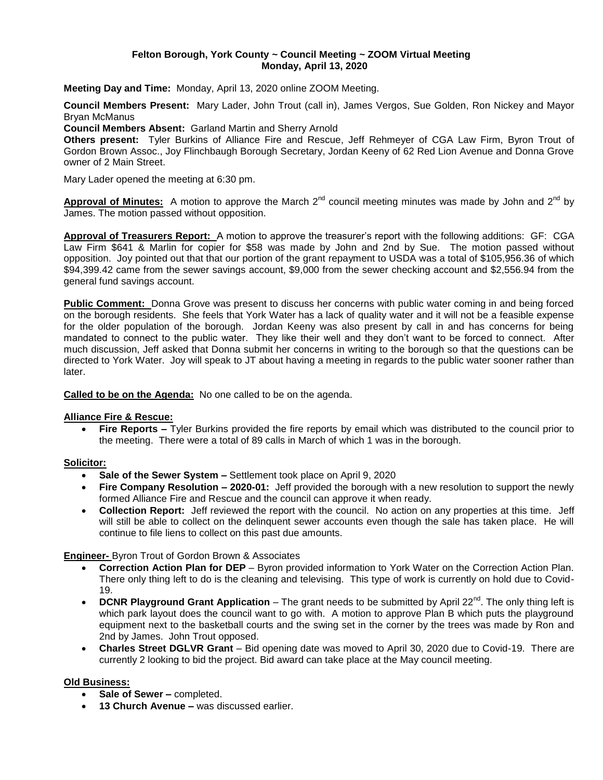#### **Felton Borough, York County ~ Council Meeting ~ ZOOM Virtual Meeting Monday, April 13, 2020**

**Meeting Day and Time:** Monday, April 13, 2020 online ZOOM Meeting.

**Council Members Present:** Mary Lader, John Trout (call in), James Vergos, Sue Golden, Ron Nickey and Mayor Bryan McManus

**Council Members Absent:** Garland Martin and Sherry Arnold

**Others present:** Tyler Burkins of Alliance Fire and Rescue, Jeff Rehmeyer of CGA Law Firm, Byron Trout of Gordon Brown Assoc., Joy Flinchbaugh Borough Secretary, Jordan Keeny of 62 Red Lion Avenue and Donna Grove owner of 2 Main Street.

Mary Lader opened the meeting at 6:30 pm.

Approval of Minutes: A motion to approve the March 2<sup>nd</sup> council meeting minutes was made by John and 2<sup>nd</sup> by James. The motion passed without opposition.

**Approval of Treasurers Report:** A motion to approve the treasurer's report with the following additions: GF: CGA Law Firm \$641 & Marlin for copier for \$58 was made by John and 2nd by Sue. The motion passed without opposition. Joy pointed out that that our portion of the grant repayment to USDA was a total of \$105,956.36 of which \$94,399.42 came from the sewer savings account, \$9,000 from the sewer checking account and \$2,556.94 from the general fund savings account.

**Public Comment:** Donna Grove was present to discuss her concerns with public water coming in and being forced on the borough residents. She feels that York Water has a lack of quality water and it will not be a feasible expense for the older population of the borough. Jordan Keeny was also present by call in and has concerns for being mandated to connect to the public water. They like their well and they don't want to be forced to connect. After much discussion, Jeff asked that Donna submit her concerns in writing to the borough so that the questions can be directed to York Water. Joy will speak to JT about having a meeting in regards to the public water sooner rather than later.

**Called to be on the Agenda:** No one called to be on the agenda.

#### **Alliance Fire & Rescue:**

 **Fire Reports –** Tyler Burkins provided the fire reports by email which was distributed to the council prior to the meeting. There were a total of 89 calls in March of which 1 was in the borough.

# **Solicitor:**

- **Sale of the Sewer System –** Settlement took place on April 9, 2020
- **Fire Company Resolution – 2020-01:** Jeff provided the borough with a new resolution to support the newly formed Alliance Fire and Rescue and the council can approve it when ready.
- **Collection Report:** Jeff reviewed the report with the council. No action on any properties at this time. Jeff will still be able to collect on the delinquent sewer accounts even though the sale has taken place. He will continue to file liens to collect on this past due amounts.

# **Engineer-** Byron Trout of Gordon Brown & Associates

- **Correction Action Plan for DEP** Byron provided information to York Water on the Correction Action Plan. There only thing left to do is the cleaning and televising. This type of work is currently on hold due to Covid-19.
- **DCNR Playground Grant Application** The grant needs to be submitted by April 22<sup>nd</sup>. The only thing left is which park layout does the council want to go with. A motion to approve Plan B which puts the playground equipment next to the basketball courts and the swing set in the corner by the trees was made by Ron and 2nd by James. John Trout opposed.
- **Charles Street DGLVR Grant**  Bid opening date was moved to April 30, 2020 due to Covid-19. There are currently 2 looking to bid the project. Bid award can take place at the May council meeting.

# **Old Business:**

- **Sale of Sewer –** completed.
- **13 Church Avenue –** was discussed earlier.